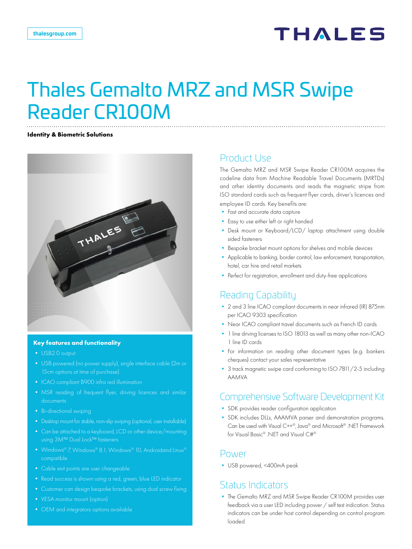# **THALES**

# Thales Gemalto MRZ and MSR Swipe Reader CR100M

#### **Identity & Biometric Solutions**



#### **Key features and functionality**

- **•** USB2.0 output
- **•** USB powered (no power supply), single interface cable (2m or 15cm options at time of purchase)
- 
- documents
- **•** Bi-directional swiping
- Desktop mount for stable, non-slip swiping (optional, user installable)
- **•** Can be attached to a keyboard, LCD or other device/mounting
- **•** Windows® 7, Windows® 8.1, Windows® 10, Androidand Linux® compatible
- **•** Cable exit points are user changeable
- 
- **•** Customer can design bespoke brackets, using dual screw fixing
- **•** VESA monitor mount (option)
- 

### Product Use

The Gemalto MRZ and MSR Swipe Reader CR100M acquires the codeline data from Machine Readable Travel Documents (MRTDs) and other identity documents and reads the magnetic stripe from ISO standard cards such as frequent flyer cards, driver's licences and employee ID cards. Key benefits are:

- **•** Fast and accurate data capture
- **•** Easy to use either left or right handed
- **•** Desk mount or Keyboard/LCD/ laptop attachment using double sided fasteners
- **•** Bespoke bracket mount options for shelves and mobile devices
- **•** Applicable to banking, border control, law enforcement, transportation, hotel, car hire and retail markets
- **•** Perfect for registration, enrollment and duty-free applications

## Reading Capability

- **•** 2 and 3 line ICAO compliant documents in near infrared (IR) 875nm per ICAO 9303 specification
- **•** Near ICAO compliant travel documents such as French ID cards
- **•** 1 line driving licenses to ISO 18013 as well as many other non-ICAO 1 line ID cards
- **•** For information on reading other document types (e.g. bankers cheques) contact your sales representative
- **•** 3 track magnetic swipe card conforming to ISO 7811/2-5 including AAMVA

### Comprehensive Software Development Kit

- **•** SDK provides reader configuration application
- **•** SDK includes DLLs, AAAMVA parser and demonstration programs. Can be used with Visual C++®, Java® and Microsoft® .NET Framework for Visual Basic® .NET and Visual C#®

### Power

**•** USB powered, <400mA peak

### Status Indicators

**•** The Gemalto MRZ and MSR Swipe Reader CR100M provides user feedback via a user LED including power / self test indication. Status indicators can be under host control depending on control program loaded